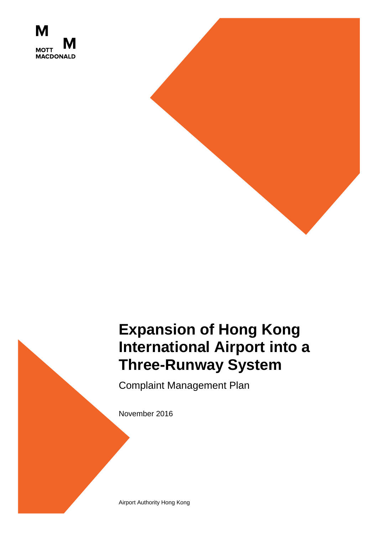



# **Expansion of Hong Kong International Airport into a Three-Runway System**

Complaint Management Plan

November 2016

Airport Authority Hong Kong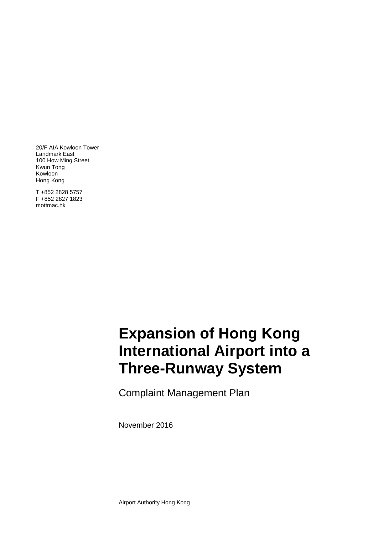20/F AIA Kowloon Tower Landmark East 100 How Ming Street Kwun Tong Kowloon Hong Kong

T +852 2828 5757 F +852 2827 1823 mottmac.hk

# **International Airport into a Three-Runway System Expansion of Hong Kong**

Complaint Management Plan

November 2016

Airport Authority Hong Kong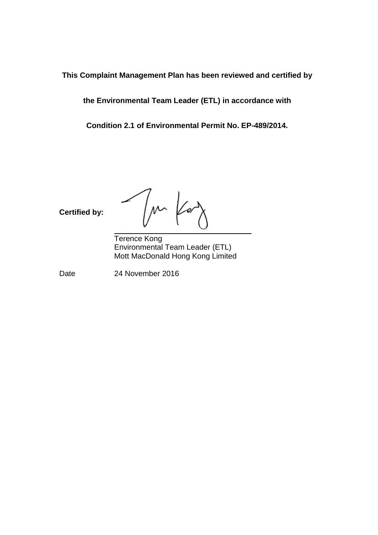**This Complaint Management Plan has been reviewed and certified by** 

**the Environmental Team Leader (ETL) in accordance with** 

**Condition 2.1 of Environmental Permit No. EP-489/2014.**

**Certified by:**

 $M$ 

Terence Kong Environmental Team Leader (ETL) Mott MacDonald Hong Kong Limited

Date 24 November 2016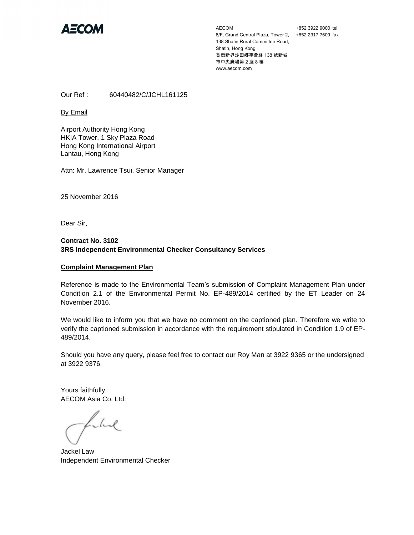

AECOM 8/F, Grand Central Plaza, Tower 2, +852 2317 7609 fax 138 Shatin Rural Committee Road, Shatin, Hong Kong 香港新界沙田鄉事會路 138 號新城 市中央廣場第 2 座 8 樓 www.aecom.com

+852 3922 9000 tel

Our Ref : 60440482/C/JCHL161125

By Email

Airport Authority Hong Kong HKIA Tower, 1 Sky Plaza Road Hong Kong International Airport Lantau, Hong Kong

Attn: Mr. Lawrence Tsui, Senior Manager

25 November 2016

Dear Sir,

#### **Contract No. 3102 3RS Independent Environmental Checker Consultancy Services**

#### **Complaint Management Plan**

Reference is made to the Environmental Team's submission of Complaint Management Plan under Condition 2.1 of the Environmental Permit No. EP-489/2014 certified by the ET Leader on 24 November 2016.

We would like to inform you that we have no comment on the captioned plan. Therefore we write to verify the captioned submission in accordance with the requirement stipulated in Condition 1.9 of EP-489/2014.

Should you have any query, please feel free to contact our Roy Man at 3922 9365 or the undersigned at 3922 9376.

Yours faithfully, AECOM Asia Co. Ltd.

Libert

Jackel Law Independent Environmental Checker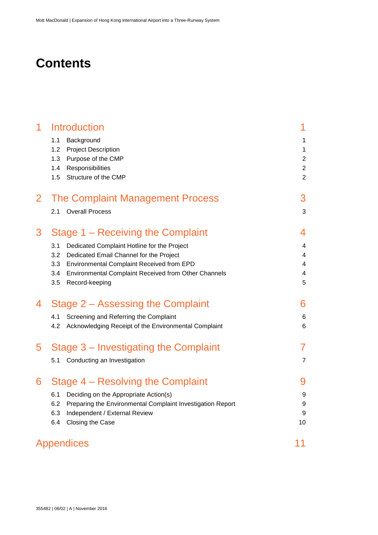### **Contents**

| 1              | <b>Introduction</b>                                               | 1                                |
|----------------|-------------------------------------------------------------------|----------------------------------|
|                | 1.1<br>Background                                                 | 1                                |
|                | 1.2<br><b>Project Description</b>                                 | 1                                |
|                | 1.3<br>Purpose of the CMP                                         | $\sqrt{2}$                       |
|                | 1.4<br>Responsibilities                                           | $\overline{c}$<br>$\overline{2}$ |
|                | 1.5<br>Structure of the CMP                                       |                                  |
| $\overline{2}$ | <b>The Complaint Management Process</b>                           | 3                                |
|                | <b>Overall Process</b><br>2.1                                     | 3                                |
| 3              | Stage 1 – Receiving the Complaint                                 | 4                                |
|                | Dedicated Complaint Hotline for the Project<br>3.1                | 4                                |
|                | 3.2<br>Dedicated Email Channel for the Project                    | 4                                |
|                | 3.3<br>Environmental Complaint Received from EPD                  | $\overline{\mathbf{4}}$          |
|                | Environmental Complaint Received from Other Channels<br>3.4       | 4                                |
|                | Record-keeping<br>3.5                                             | 5                                |
| 4              | Stage 2 – Assessing the Complaint                                 | 6                                |
|                | 4.1<br>Screening and Referring the Complaint                      | $\,6$                            |
|                | 4.2<br>Acknowledging Receipt of the Environmental Complaint       | 6                                |
| 5              | Stage 3 – Investigating the Complaint                             | 7                                |
|                | 5.1<br>Conducting an Investigation                                | $\overline{7}$                   |
| 6              | Stage 4 – Resolving the Complaint                                 | 9                                |
|                | 6.1<br>Deciding on the Appropriate Action(s)                      | 9                                |
|                | 6.2<br>Preparing the Environmental Complaint Investigation Report | 9                                |
|                | 6.3<br>Independent / External Review                              | 9                                |
|                | 6.4<br>Closing the Case                                           | 10                               |
|                | Appendices                                                        | 11                               |
|                |                                                                   |                                  |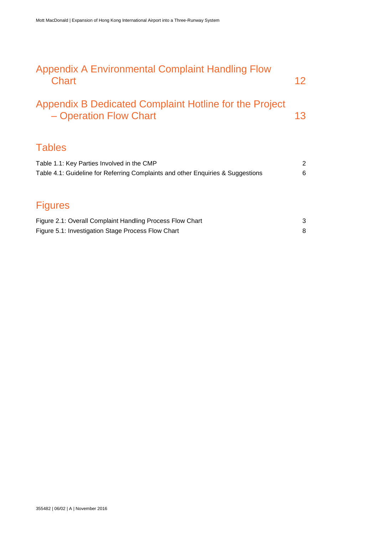| Appendix A Environmental Complaint Handling Flow<br><b>Chart</b>                                                              | 12                  |
|-------------------------------------------------------------------------------------------------------------------------------|---------------------|
| Appendix B Dedicated Complaint Hotline for the Project<br>- Operation Flow Chart                                              | 13                  |
| <b>Tables</b>                                                                                                                 |                     |
| Table 1.1: Key Parties Involved in the CMP<br>Table 4.1: Guideline for Referring Complaints and other Enquiries & Suggestions | $\overline{a}$<br>6 |
| <b>Figures</b>                                                                                                                |                     |
| Figure 2.1: Overall Complaint Handling Process Flow Chart<br>Figure 5.1: Investigation Stage Process Flow Chart               | 3<br>8              |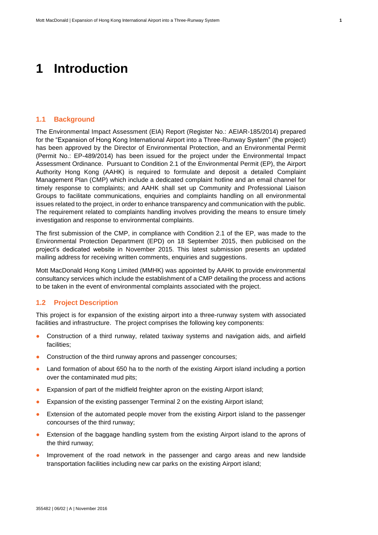### <span id="page-6-0"></span>**1 Introduction**

#### <span id="page-6-1"></span>**1.1 Background**

The Environmental Impact Assessment (EIA) Report (Register No.: AEIAR-185/2014) prepared for the "Expansion of Hong Kong International Airport into a Three-Runway System" (the project) has been approved by the Director of Environmental Protection, and an Environmental Permit (Permit No.: EP-489/2014) has been issued for the project under the Environmental Impact Assessment Ordinance. Pursuant to Condition 2.1 of the Environmental Permit (EP), the Airport Authority Hong Kong (AAHK) is required to formulate and deposit a detailed Complaint Management Plan (CMP) which include a dedicated complaint hotline and an email channel for timely response to complaints; and AAHK shall set up Community and Professional Liaison Groups to facilitate communications, enquiries and complaints handling on all environmental issues related to the project, in order to enhance transparency and communication with the public. The requirement related to complaints handling involves providing the means to ensure timely investigation and response to environmental complaints.

The first submission of the CMP, in compliance with Condition 2.1 of the EP, was made to the Environmental Protection Department (EPD) on 18 September 2015, then publicised on the project's dedicated website in November 2015. This latest submission presents an updated mailing address for receiving written comments, enquiries and suggestions.

Mott MacDonald Hong Kong Limited (MMHK) was appointed by AAHK to provide environmental consultancy services which include the establishment of a CMP detailing the process and actions to be taken in the event of environmental complaints associated with the project.

#### <span id="page-6-2"></span>**1.2 Project Description**

This project is for expansion of the existing airport into a three-runway system with associated facilities and infrastructure. The project comprises the following key components:

- Construction of a third runway, related taxiway systems and navigation aids, and airfield facilities;
- Construction of the third runway aprons and passenger concourses;
- Land formation of about 650 ha to the north of the existing Airport island including a portion over the contaminated mud pits;
- Expansion of part of the midfield freighter apron on the existing Airport island;
- Expansion of the existing passenger Terminal 2 on the existing Airport island;
- Extension of the automated people mover from the existing Airport island to the passenger concourses of the third runway;
- Extension of the baggage handling system from the existing Airport island to the aprons of the third runway;
- Improvement of the road network in the passenger and cargo areas and new landside transportation facilities including new car parks on the existing Airport island;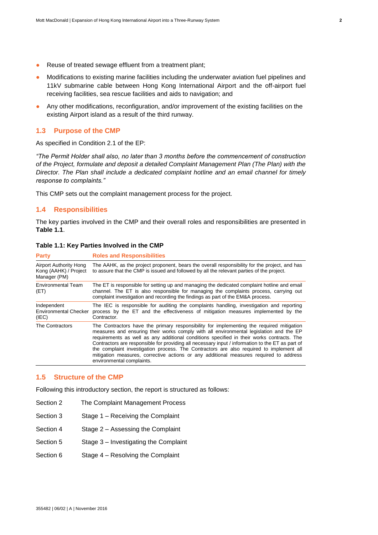- Reuse of treated sewage effluent from a treatment plant;
- Modifications to existing marine facilities including the underwater aviation fuel pipelines and 11kV submarine cable between Hong Kong International Airport and the off-airport fuel receiving facilities, sea rescue facilities and aids to navigation; and
- Any other modifications, reconfiguration, and/or improvement of the existing facilities on the existing Airport island as a result of the third runway.

#### <span id="page-7-0"></span>**1.3 Purpose of the CMP**

As specified in Condition 2.1 of the EP:

*"The Permit Holder shall also, no later than 3 months before the commencement of construction of the Project, formulate and deposit a detailed Complaint Management Plan (The Plan) with the Director. The Plan shall include a dedicated complaint hotline and an email channel for timely response to complaints."*

This CMP sets out the complaint management process for the project.

#### <span id="page-7-1"></span>**1.4 Responsibilities**

The key parties involved in the CMP and their overall roles and responsibilities are presented in **[Table](#page-7-3) 1.1**.

<span id="page-7-3"></span>

| Table 1.1: Key Parties Involved in the CMP |  |  |  |  |
|--------------------------------------------|--|--|--|--|
|--------------------------------------------|--|--|--|--|

| <b>Party</b>                                                           | <b>Roles and Responsibilities</b>                                                                                                                                                                                                                                                                                                                                                                                                                                                                                                                                                                     |
|------------------------------------------------------------------------|-------------------------------------------------------------------------------------------------------------------------------------------------------------------------------------------------------------------------------------------------------------------------------------------------------------------------------------------------------------------------------------------------------------------------------------------------------------------------------------------------------------------------------------------------------------------------------------------------------|
| <b>Airport Authority Hong</b><br>Kong (AAHK) / Project<br>Manager (PM) | The AAHK, as the project proponent, bears the overall responsibility for the project, and has<br>to assure that the CMP is issued and followed by all the relevant parties of the project.                                                                                                                                                                                                                                                                                                                                                                                                            |
| Environmental Team<br>(ET)                                             | The ET is responsible for setting up and managing the dedicated complaint hotline and email<br>channel. The ET is also responsible for managing the complaints process, carrying out<br>complaint investigation and recording the findings as part of the EM&A process.                                                                                                                                                                                                                                                                                                                               |
| Independent<br><b>Environmental Checker</b><br>(IEC)                   | The IEC is responsible for auditing the complaints handling, investigation and reporting<br>process by the ET and the effectiveness of mitigation measures implemented by the<br>Contractor.                                                                                                                                                                                                                                                                                                                                                                                                          |
| The Contractors                                                        | The Contractors have the primary responsibility for implementing the required mitigation<br>measures and ensuring their works comply with all environmental legislation and the EP<br>requirements as well as any additional conditions specified in their works contracts. The<br>Contractors are responsible for providing all necessary input / information to the ET as part of<br>the complaint investigation process. The Contractors are also required to implement all<br>mitigation measures, corrective actions or any additional measures required to address<br>environmental complaints. |

#### <span id="page-7-2"></span>**1.5 Structure of the CMP**

Following this introductory section, the report is structured as follows:

- Section 2 The Complaint Management Process
- Section 3 Stage 1 Receiving the Complaint
- Section 4 Stage 2 Assessing the Complaint
- Section 5 Stage 3 Investigating the Complaint
- Section 6 Stage 4 Resolving the Complaint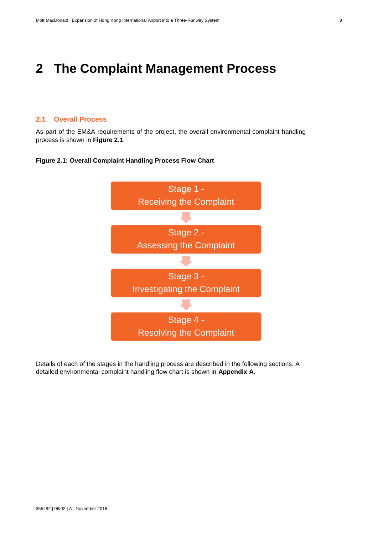### <span id="page-8-0"></span>**2 The Complaint Management Process**

#### <span id="page-8-1"></span>**2.1 Overall Process**

As part of the EM&A requirements of the project, the overall environmental complaint handling process is shown in **[Figure](#page-8-2) 2.1**.



#### <span id="page-8-2"></span>**Figure 2.1: Overall Complaint Handling Process Flow Chart**

Details of each of the stages in the handling process are described in the following sections. A detailed environmental complaint handling flow chart is shown in **Appendix A**.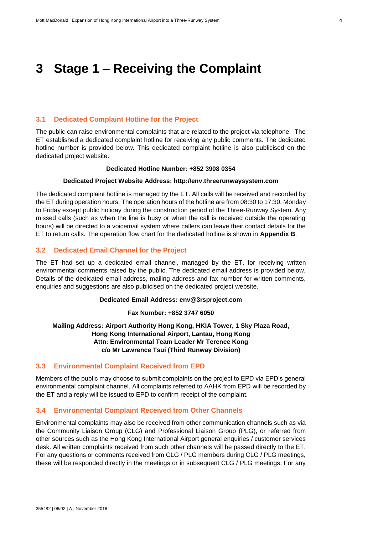### <span id="page-9-0"></span>**3 Stage 1 – Receiving the Complaint**

#### <span id="page-9-1"></span>**3.1 Dedicated Complaint Hotline for the Project**

The public can raise environmental complaints that are related to the project via telephone. The ET established a dedicated complaint hotline for receiving any public comments. The dedicated hotline number is provided below. This dedicated complaint hotline is also publicised on the dedicated project website.

#### **Dedicated Hotline Number: +852 3908 0354**

#### **Dedicated Project Website Address: http://env.threerunwaysystem.com**

The dedicated complaint hotline is managed by the ET. All calls will be received and recorded by the ET during operation hours. The operation hours of the hotline are from 08:30 to 17:30, Monday to Friday except public holiday during the construction period of the Three-Runway System. Any missed calls (such as when the line is busy or when the call is received outside the operating hours) will be directed to a voicemail system where callers can leave their contact details for the ET to return calls. The operation flow chart for the dedicated hotline is shown in **Appendix B**.

#### <span id="page-9-2"></span>**3.2 Dedicated Email Channel for the Project**

The ET had set up a dedicated email channel, managed by the ET, for receiving written environmental comments raised by the public. The dedicated email address is provided below. Details of the dedicated email address, mailing address and fax number for written comments, enquiries and suggestions are also publicised on the dedicated project website.

#### **Dedicated Email Address: env@3rsproject.com**

#### **Fax Number: +852 3747 6050**

**Mailing Address: Airport Authority Hong Kong, HKIA Tower, 1 Sky Plaza Road, Hong Kong International Airport, Lantau, Hong Kong Attn: Environmental Team Leader Mr Terence Kong c/o Mr Lawrence Tsui (Third Runway Division)** 

#### <span id="page-9-3"></span>**3.3 Environmental Complaint Received from EPD**

Members of the public may choose to submit complaints on the project to EPD via EPD's general environmental complaint channel. All complaints referred to AAHK from EPD will be recorded by the ET and a reply will be issued to EPD to confirm receipt of the complaint.

#### <span id="page-9-4"></span>**3.4 Environmental Complaint Received from Other Channels**

Environmental complaints may also be received from other communication channels such as via the Community Liaison Group (CLG) and Professional Liaison Group (PLG), or referred from other sources such as the Hong Kong International Airport general enquiries / customer services desk. All written complaints received from such other channels will be passed directly to the ET. For any questions or comments received from CLG / PLG members during CLG / PLG meetings, these will be responded directly in the meetings or in subsequent CLG / PLG meetings. For any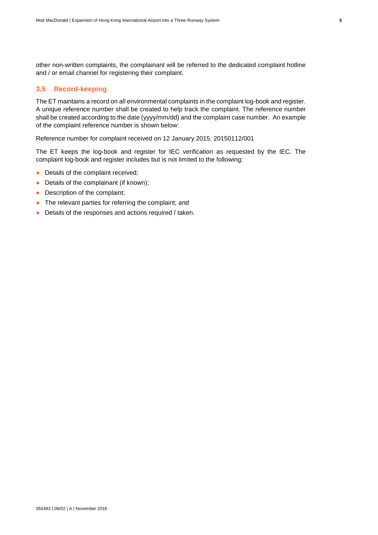other non-written complaints, the complainant will be referred to the dedicated complaint hotline and / or email channel for registering their complaint.

#### <span id="page-10-0"></span>**3.5 Record-keeping**

The ET maintains a record on all environmental complaints in the complaint log-book and register. A unique reference number shall be created to help track the complaint. The reference number shall be created according to the date (yyyy/mm/dd) and the complaint case number. An example of the complaint reference number is shown below:

Reference number for complaint received on 12 January 2015: 20150112/001

The ET keeps the log-book and register for IEC verification as requested by the IEC. The complaint log-book and register includes but is not limited to the following:

- Details of the complaint received;
- Details of the complainant (if known);
- Description of the complaint;
- The relevant parties for referring the complaint; and
- Details of the responses and actions required / taken.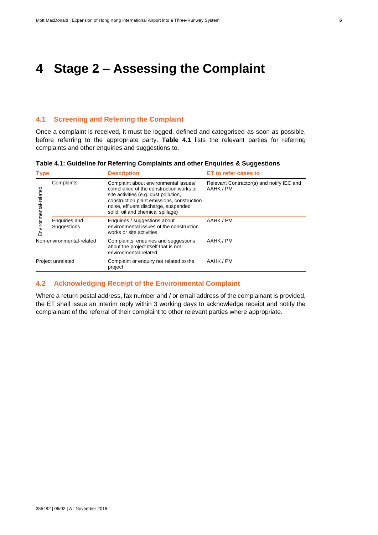### <span id="page-11-0"></span>**4 Stage 2 – Assessing the Complaint**

#### <span id="page-11-1"></span>**4.1 Screening and Referring the Complaint**

Once a complaint is received, it must be logged, defined and categorised as soon as possible, before referring to the appropriate party. **[Table](#page-11-3) 4.1** lists the relevant parties for referring complaints and other enquiries and suggestions to.

| <b>Type</b>               |                              | <b>Description</b>                                                                                                                                                                                                                                   | <b>ET to refer cases to</b>                            |  |
|---------------------------|------------------------------|------------------------------------------------------------------------------------------------------------------------------------------------------------------------------------------------------------------------------------------------------|--------------------------------------------------------|--|
| Environmental-related     | Complaints                   | Complaint about environmental issues/<br>compliance of the construction works or<br>site activities (e.g. dust pollution,<br>construction plant emissions, construction<br>noise, effluent discharge, suspended<br>solid, oil and chemical spillage) | Relevant Contractor(s) and notify IEC and<br>AAHK / PM |  |
|                           | Enquiries and<br>Suggestions | Enquiries / suggestions about<br>environmental issues of the construction<br>works or site activities                                                                                                                                                | AAHK / PM                                              |  |
| Non-environmental-related |                              | Complaints, enquiries and suggestions<br>about the project itself that is not<br>environmental-related                                                                                                                                               | AAHK / PM                                              |  |
| Project unrelated         |                              | Complaint or enquiry not related to the<br>project                                                                                                                                                                                                   | AAHK / PM                                              |  |

### <span id="page-11-3"></span>**Table 4.1: Guideline for Referring Complaints and other Enquiries & Suggestions**

#### <span id="page-11-2"></span>**4.2 Acknowledging Receipt of the Environmental Complaint**

Where a return postal address, fax number and / or email address of the complainant is provided, the ET shall issue an interim reply within 3 working days to acknowledge receipt and notify the complainant of the referral of their complaint to other relevant parties where appropriate.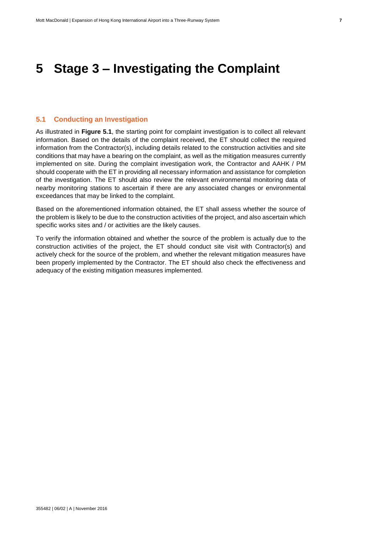### <span id="page-12-0"></span>**5 Stage 3 – Investigating the Complaint**

#### <span id="page-12-1"></span>**5.1 Conducting an Investigation**

As illustrated in **[Figure](#page-13-0) 5.1**, the starting point for complaint investigation is to collect all relevant information. Based on the details of the complaint received, the ET should collect the required information from the Contractor(s), including details related to the construction activities and site conditions that may have a bearing on the complaint, as well as the mitigation measures currently implemented on site. During the complaint investigation work, the Contractor and AAHK / PM should cooperate with the ET in providing all necessary information and assistance for completion of the investigation. The ET should also review the relevant environmental monitoring data of nearby monitoring stations to ascertain if there are any associated changes or environmental exceedances that may be linked to the complaint.

Based on the aforementioned information obtained, the ET shall assess whether the source of the problem is likely to be due to the construction activities of the project, and also ascertain which specific works sites and / or activities are the likely causes.

To verify the information obtained and whether the source of the problem is actually due to the construction activities of the project, the ET should conduct site visit with Contractor(s) and actively check for the source of the problem, and whether the relevant mitigation measures have been properly implemented by the Contractor. The ET should also check the effectiveness and adequacy of the existing mitigation measures implemented.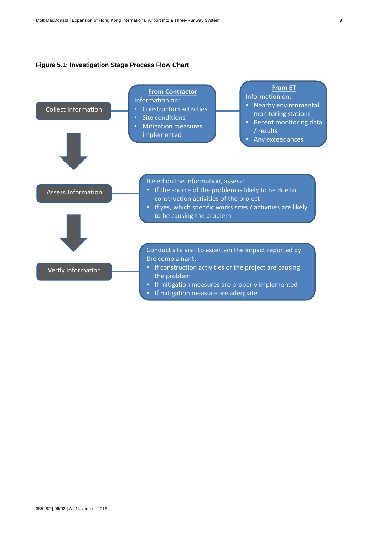#### <span id="page-13-0"></span>**Figure 5.1: Investigation Stage Process Flow Chart**

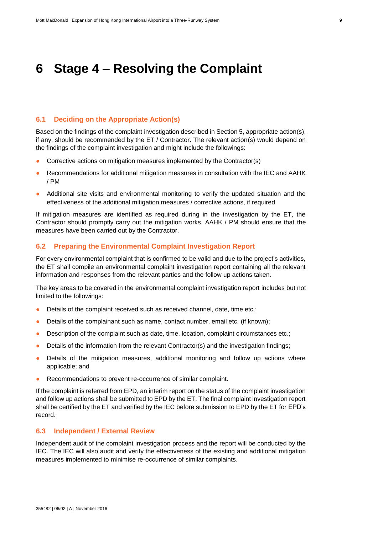### <span id="page-14-0"></span>**6 Stage 4 – Resolving the Complaint**

#### <span id="page-14-1"></span>**6.1 Deciding on the Appropriate Action(s)**

Based on the findings of the complaint investigation described in Section 5, appropriate action(s), if any, should be recommended by the ET / Contractor. The relevant action(s) would depend on the findings of the complaint investigation and might include the followings:

- Corrective actions on mitigation measures implemented by the Contractor(s)
- Recommendations for additional mitigation measures in consultation with the IEC and AAHK / PM
- Additional site visits and environmental monitoring to verify the updated situation and the effectiveness of the additional mitigation measures / corrective actions, if required

If mitigation measures are identified as required during in the investigation by the ET, the Contractor should promptly carry out the mitigation works. AAHK / PM should ensure that the measures have been carried out by the Contractor.

#### <span id="page-14-2"></span>**6.2 Preparing the Environmental Complaint Investigation Report**

For every environmental complaint that is confirmed to be valid and due to the project's activities, the ET shall compile an environmental complaint investigation report containing all the relevant information and responses from the relevant parties and the follow up actions taken.

The key areas to be covered in the environmental complaint investigation report includes but not limited to the followings:

- Details of the complaint received such as received channel, date, time etc.;
- Details of the complainant such as name, contact number, email etc. (if known);
- Description of the complaint such as date, time, location, complaint circumstances etc.;
- Details of the information from the relevant Contractor(s) and the investigation findings;
- Details of the mitigation measures, additional monitoring and follow up actions where applicable; and
- Recommendations to prevent re-occurrence of similar complaint.

If the complaint is referred from EPD, an interim report on the status of the complaint investigation and follow up actions shall be submitted to EPD by the ET. The final complaint investigation report shall be certified by the ET and verified by the IEC before submission to EPD by the ET for EPD's record.

#### <span id="page-14-3"></span>**6.3 Independent / External Review**

Independent audit of the complaint investigation process and the report will be conducted by the IEC. The IEC will also audit and verify the effectiveness of the existing and additional mitigation measures implemented to minimise re-occurrence of similar complaints.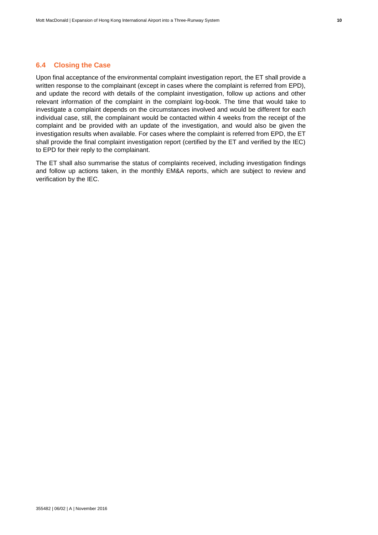#### <span id="page-15-0"></span>**6.4 Closing the Case**

Upon final acceptance of the environmental complaint investigation report, the ET shall provide a written response to the complainant (except in cases where the complaint is referred from EPD), and update the record with details of the complaint investigation, follow up actions and other relevant information of the complaint in the complaint log-book. The time that would take to investigate a complaint depends on the circumstances involved and would be different for each individual case, still, the complainant would be contacted within 4 weeks from the receipt of the complaint and be provided with an update of the investigation, and would also be given the investigation results when available. For cases where the complaint is referred from EPD, the ET shall provide the final complaint investigation report (certified by the ET and verified by the IEC) to EPD for their reply to the complainant.

The ET shall also summarise the status of complaints received, including investigation findings and follow up actions taken, in the monthly EM&A reports, which are subject to review and verification by the IEC.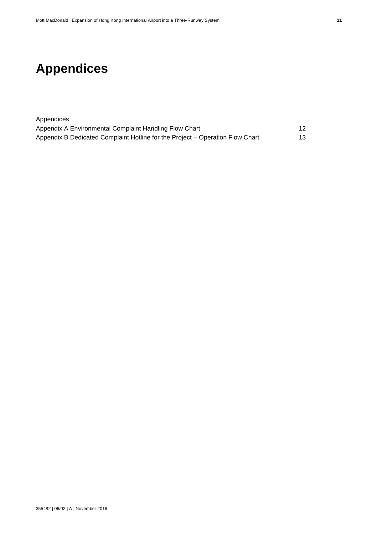## <span id="page-16-0"></span>**Appendices**

| Appendices                                                                    |     |
|-------------------------------------------------------------------------------|-----|
| Appendix A Environmental Complaint Handling Flow Chart                        | 12  |
| Appendix B Dedicated Complaint Hotline for the Project – Operation Flow Chart | 13. |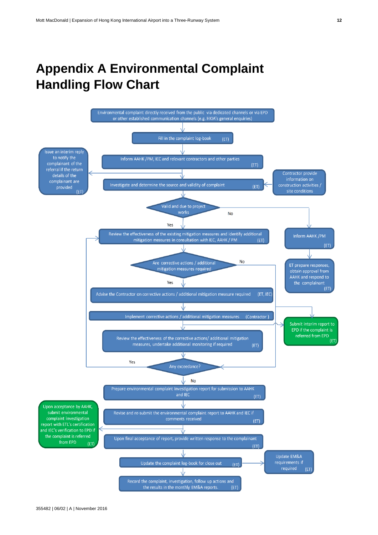### <span id="page-17-0"></span>**Appendix A Environmental Complaint Handling Flow Chart**